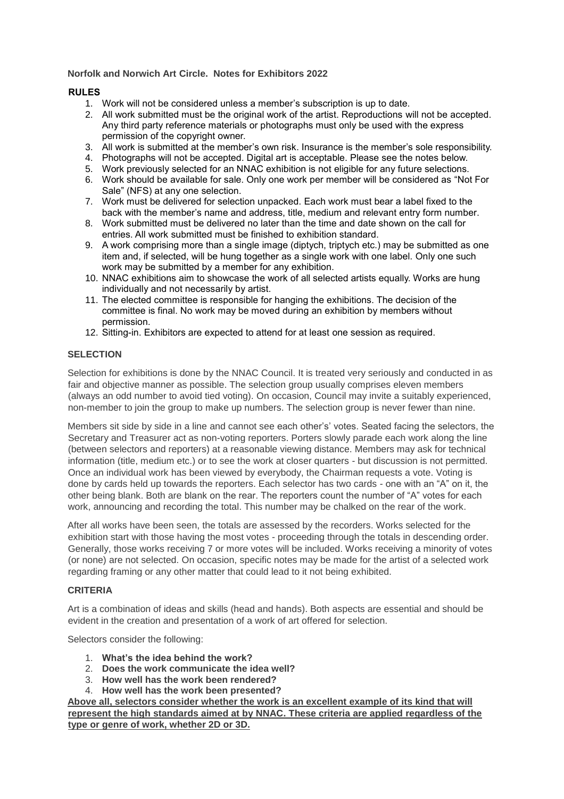## **Norfolk and Norwich Art Circle. Notes for Exhibitors 2022**

# **RULES**

- 1. Work will not be considered unless a member's subscription is up to date.
- 2. All work submitted must be the original work of the artist. Reproductions will not be accepted. Any third party reference materials or photographs must only be used with the express permission of the copyright owner.
- 3. All work is submitted at the member's own risk. Insurance is the member's sole responsibility.
- 4. Photographs will not be accepted. Digital art is acceptable. Please see the notes below.
- 5. Work previously selected for an NNAC exhibition is not eligible for any future selections.
- 6. Work should be available for sale. Only one work per member will be considered as "Not For Sale" (NFS) at any one selection.
- 7. Work must be delivered for selection unpacked. Each work must bear a label fixed to the back with the member's name and address, title, medium and relevant entry form number.
- 8. Work submitted must be delivered no later than the time and date shown on the call for entries. All work submitted must be finished to exhibition standard.
- 9. A work comprising more than a single image (diptych, triptych etc.) may be submitted as one item and, if selected, will be hung together as a single work with one label. Only one such work may be submitted by a member for any exhibition.
- 10. NNAC exhibitions aim to showcase the work of all selected artists equally. Works are hung individually and not necessarily by artist.
- 11. The elected committee is responsible for hanging the exhibitions. The decision of the committee is final. No work may be moved during an exhibition by members without permission.
- 12. Sitting-in. Exhibitors are expected to attend for at least one session as required.

### **SELECTION**

Selection for exhibitions is done by the NNAC Council. It is treated very seriously and conducted in as fair and objective manner as possible. The selection group usually comprises eleven members (always an odd number to avoid tied voting). On occasion, Council may invite a suitably experienced, non-member to join the group to make up numbers. The selection group is never fewer than nine.

Members sit side by side in a line and cannot see each other's' votes. Seated facing the selectors, the Secretary and Treasurer act as non-voting reporters. Porters slowly parade each work along the line (between selectors and reporters) at a reasonable viewing distance. Members may ask for technical information (title, medium etc.) or to see the work at closer quarters - but discussion is not permitted. Once an individual work has been viewed by everybody, the Chairman requests a vote. Voting is done by cards held up towards the reporters. Each selector has two cards - one with an "A" on it, the other being blank. Both are blank on the rear. The reporters count the number of "A" votes for each work, announcing and recording the total. This number may be chalked on the rear of the work.

After all works have been seen, the totals are assessed by the recorders. Works selected for the exhibition start with those having the most votes - proceeding through the totals in descending order. Generally, those works receiving 7 or more votes will be included. Works receiving a minority of votes (or none) are not selected. On occasion, specific notes may be made for the artist of a selected work regarding framing or any other matter that could lead to it not being exhibited.

### **CRITERIA**

Art is a combination of ideas and skills (head and hands). Both aspects are essential and should be evident in the creation and presentation of a work of art offered for selection.

Selectors consider the following:

- 1. **What's the idea behind the work?**
- 2. **Does the work communicate the idea well?**
- 3. **How well has the work been rendered?**
- 4. **How well has the work been presented?**

**Above all, selectors consider whether the work is an excellent example of its kind that will represent the high standards aimed at by NNAC. These criteria are applied regardless of the type or genre of work, whether 2D or 3D.**